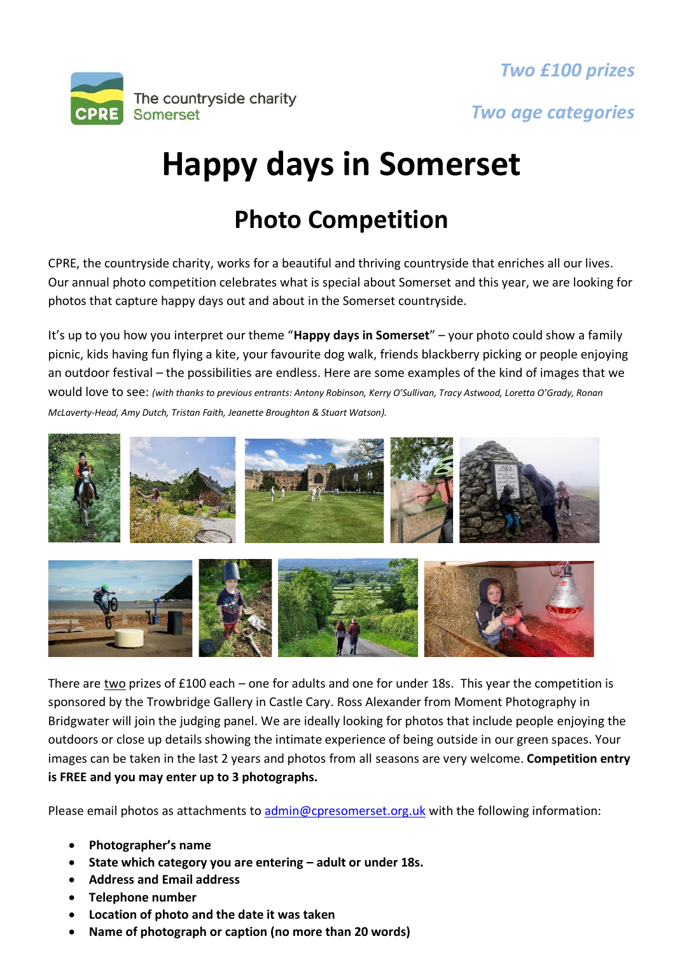



*Two age categories*

## **Happy days in Somerset**

## **Photo Competition**

CPRE, the countryside charity, works for a beautiful and thriving countryside that enriches all our lives. Our annual photo competition celebrates what is special about Somerset and this year, we are looking for photos that capture happy days out and about in the Somerset countryside.

It's up to you how you interpret our theme "**Happy days in Somerset**" – your photo could show a family picnic, kids having fun flying a kite, your favourite dog walk, friends blackberry picking or people enjoying an outdoor festival – the possibilities are endless. Here are some examples of the kind of images that we would love to see: *(with thanks to previous entrants: Antony Robinson, Kerry O'Sullivan, Tracy Astwood, Loretta O'Grady, Ronan McLaverty-Head, Amy Dutch, Tristan Faith, Jeanette Broughton & Stuart Watson).*



There are two prizes of £100 each – one for adults and one for under 18s. This year the competition is sponsored by the Trowbridge Gallery in Castle Cary. Ross Alexander from Moment Photography in Bridgwater will join the judging panel. We are ideally looking for photos that include people enjoying the outdoors or close up details showing the intimate experience of being outside in our green spaces. Your images can be taken in the last 2 years and photos from all seasons are very welcome. **Competition entry is FREE and you may enter up to 3 photographs.**

Please email photos as attachments to [admin@cpresomerset.org.uk](mailto:admin@cpresomerset.org.uk) with the following information:

- **Photographer's name**
- **State which category you are entering – adult or under 18s.**
- **Address and Email address**
- **Telephone number**
- **Location of photo and the date it was taken**
- **Name of photograph or caption (no more than 20 words)**